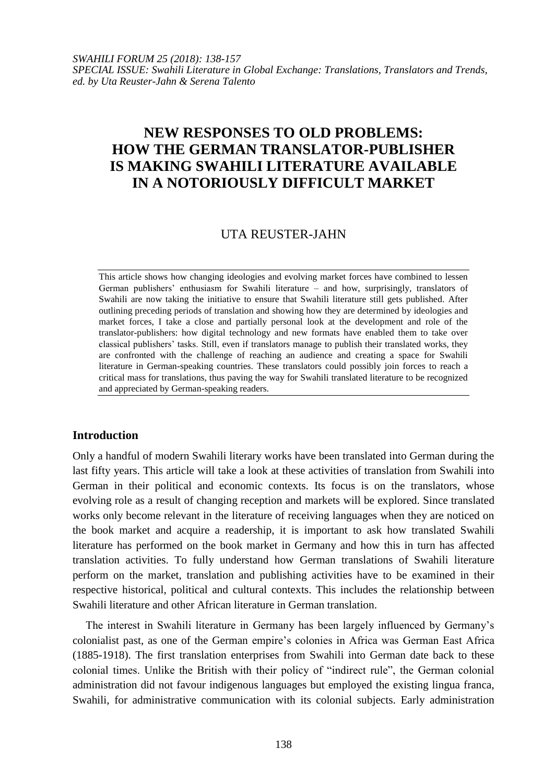# **NEW RESPONSES TO OLD PROBLEMS: HOW THE GERMAN TRANSLATOR-PUBLISHER IS MAKING SWAHILI LITERATURE AVAILABLE IN A NOTORIOUSLY DIFFICULT MARKET**

## UTA REUSTER-JAHN

This article shows how changing ideologies and evolving market forces have combined to lessen German publishers' enthusiasm for Swahili literature – and how, surprisingly, translators of Swahili are now taking the initiative to ensure that Swahili literature still gets published. After outlining preceding periods of translation and showing how they are determined by ideologies and market forces, I take a close and partially personal look at the development and role of the translator-publishers: how digital technology and new formats have enabled them to take over classical publishers' tasks. Still, even if translators manage to publish their translated works, they are confronted with the challenge of reaching an audience and creating a space for Swahili literature in German-speaking countries. These translators could possibly join forces to reach a critical mass for translations, thus paving the way for Swahili translated literature to be recognized and appreciated by German-speaking readers.

## **Introduction**

Only a handful of modern Swahili literary works have been translated into German during the last fifty years. This article will take a look at these activities of translation from Swahili into German in their political and economic contexts. Its focus is on the translators, whose evolving role as a result of changing reception and markets will be explored. Since translated works only become relevant in the literature of receiving languages when they are noticed on the book market and acquire a readership, it is important to ask how translated Swahili literature has performed on the book market in Germany and how this in turn has affected translation activities. To fully understand how German translations of Swahili literature perform on the market, translation and publishing activities have to be examined in their respective historical, political and cultural contexts. This includes the relationship between Swahili literature and other African literature in German translation.

The interest in Swahili literature in Germany has been largely influenced by Germany's colonialist past, as one of the German empire's colonies in Africa was German East Africa (1885-1918). The first translation enterprises from Swahili into German date back to these colonial times. Unlike the British with their policy of "indirect rule", the German colonial administration did not favour indigenous languages but employed the existing lingua franca, Swahili, for administrative communication with its colonial subjects. Early administration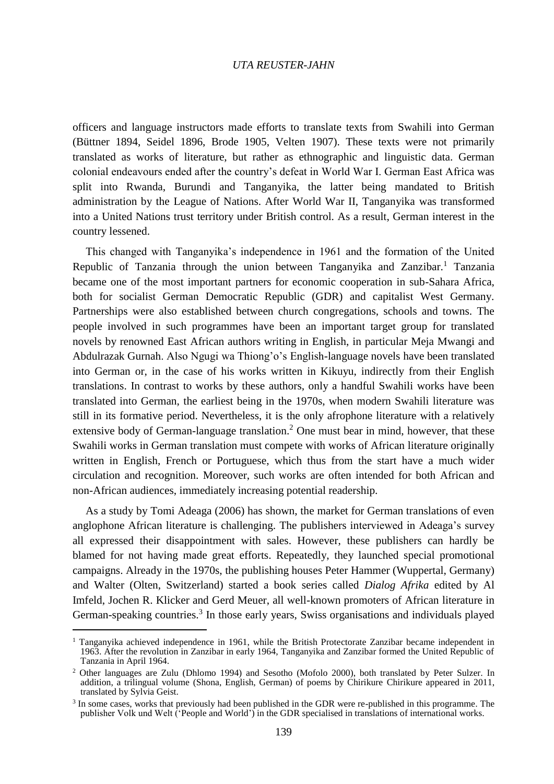officers and language instructors made efforts to translate texts from Swahili into German (Büttner 1894, Seidel 1896, Brode 1905, Velten 1907). These texts were not primarily translated as works of literature, but rather as ethnographic and linguistic data. German colonial endeavours ended after the country's defeat in World War I. German East Africa was split into Rwanda, Burundi and Tanganyika, the latter being mandated to British administration by the League of Nations. After World War II, Tanganyika was transformed into a [United Nations trust territory](https://en.wikipedia.org/wiki/United_Nations_trust_territories) under British control. As a result, German interest in the country lessened.

This changed with Tanganyika's independence in 1961 and the formation of the United Republic of Tanzania through the union between Tanganyika and Zanzibar.<sup>1</sup> Tanzania became one of the most important partners for economic cooperation in sub-Sahara Africa, both for socialist German Democratic Republic (GDR) and capitalist West Germany. Partnerships were also established between church congregations, schools and towns. The people involved in such programmes have been an important target group for translated novels by renowned East African authors writing in English, in particular Meja Mwangi and Abdulrazak Gurnah. Also Ngugi wa Thiong'o's English-language novels have been translated into German or, in the case of his works written in Kikuyu, indirectly from their English translations. In contrast to works by these authors, only a handful Swahili works have been translated into German, the earliest being in the 1970s, when modern Swahili literature was still in its formative period. Nevertheless, it is the only afrophone literature with a relatively extensive body of German-language translation.<sup>2</sup> One must bear in mind, however, that these Swahili works in German translation must compete with works of African literature originally written in English, French or Portuguese, which thus from the start have a much wider circulation and recognition. Moreover, such works are often intended for both African and non-African audiences, immediately increasing potential readership.

As a study by Tomi Adeaga (2006) has shown, the market for German translations of even anglophone African literature is challenging. The publishers interviewed in Adeaga's survey all expressed their disappointment with sales. However, these publishers can hardly be blamed for not having made great efforts. Repeatedly, they launched special promotional campaigns. Already in the 1970s, the publishing houses Peter Hammer (Wuppertal, Germany) and Walter (Olten, Switzerland) started a book series called *Dialog Afrika* edited by Al Imfeld, Jochen R. Klicker and Gerd Meuer, all well-known promoters of African literature in German-speaking countries.<sup>3</sup> In those early years, Swiss organisations and individuals played

<sup>&</sup>lt;sup>1</sup> Tanganyika achieved independence in 1961, while the British Protectorate Zanzibar became independent in 1963. After the revolution in Zanzibar in early 1964, Tanganyika and Zanzibar formed the United Republic of Tanzania in April 1964.

<sup>2</sup> Other languages are Zulu (Dhlomo 1994) and Sesotho (Mofolo 2000), both translated by Peter Sulzer. In addition, a trilingual volume (Shona, English, German) of poems by Chirikure Chirikure appeared in 2011, translated by Sylvia Geist.

<sup>&</sup>lt;sup>3</sup> In some cases, works that previously had been published in the GDR were re-published in this programme. The publisher Volk und Welt ('People and World') in the GDR specialised in translations of international works.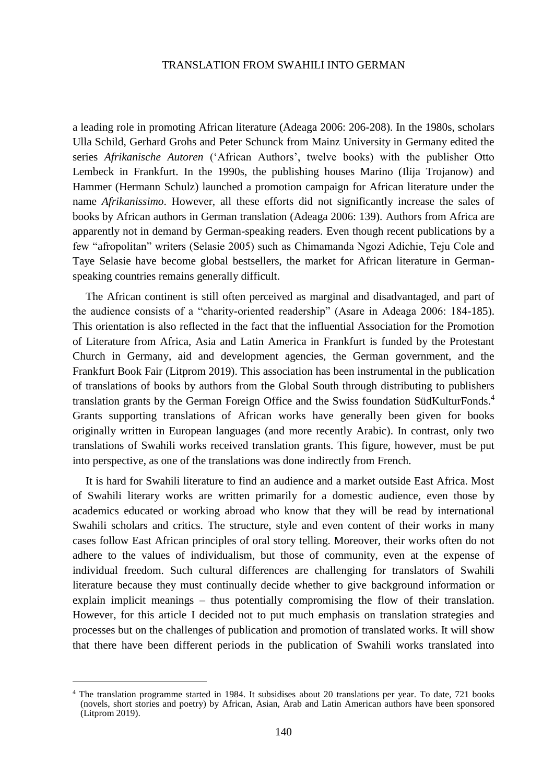a leading role in promoting African literature (Adeaga 2006: 206-208). In the 1980s, scholars Ulla Schild, Gerhard Grohs and Peter Schunck from Mainz University in Germany edited the series *Afrikanische Autoren* ('African Authors', twelve books) with the publisher Otto Lembeck in Frankfurt. In the 1990s, the publishing houses Marino (Ilija Trojanow) and Hammer (Hermann Schulz) launched a promotion campaign for African literature under the name *Afrikanissimo*. However, all these efforts did not significantly increase the sales of books by African authors in German translation (Adeaga 2006: 139). Authors from Africa are apparently not in demand by German-speaking readers. Even though recent publications by a few "afropolitan" writers (Selasie 2005) such as Chimamanda Ngozi Adichie, Teju Cole and Taye Selasie have become global bestsellers, the market for African literature in Germanspeaking countries remains generally difficult.

The African continent is still often perceived as marginal and disadvantaged, and part of the audience consists of a "charity-oriented readership" (Asare in Adeaga 2006: 184-185). This orientation is also reflected in the fact that the influential Association for the Promotion of Literature from Africa, Asia and Latin America in Frankfurt is funded by the Protestant Church in Germany, aid and development agencies, the German government, and the Frankfurt Book Fair (Litprom 2019). This association has been instrumental in the publication of translations of books by authors from the Global South through distributing to publishers translation grants by the German Foreign Office and the Swiss foundation [SüdKulturFonds.](http://www.artlink.ch/index.php?pageid=38)<sup>4</sup> Grants supporting translations of African works have generally been given for books originally written in European languages (and more recently Arabic). In contrast, only two translations of Swahili works received translation grants. This figure, however, must be put into perspective, as one of the translations was done indirectly from French.

It is hard for Swahili literature to find an audience and a market outside East Africa. Most of Swahili literary works are written primarily for a domestic audience, even those by academics educated or working abroad who know that they will be read by international Swahili scholars and critics. The structure, style and even content of their works in many cases follow East African principles of oral story telling. Moreover, their works often do not adhere to the values of individualism, but those of community, even at the expense of individual freedom. Such cultural differences are challenging for translators of Swahili literature because they must continually decide whether to give background information or explain implicit meanings – thus potentially compromising the flow of their translation. However, for this article I decided not to put much emphasis on translation strategies and processes but on the challenges of publication and promotion of translated works. It will show that there have been different periods in the publication of Swahili works translated into

1

<sup>4</sup> The translation programme started in 1984. It subsidises about 20 translations per year. To date, 721 books (novels, short stories and poetry) by African, Asian, Arab and Latin American authors have been sponsored (Litprom 2019).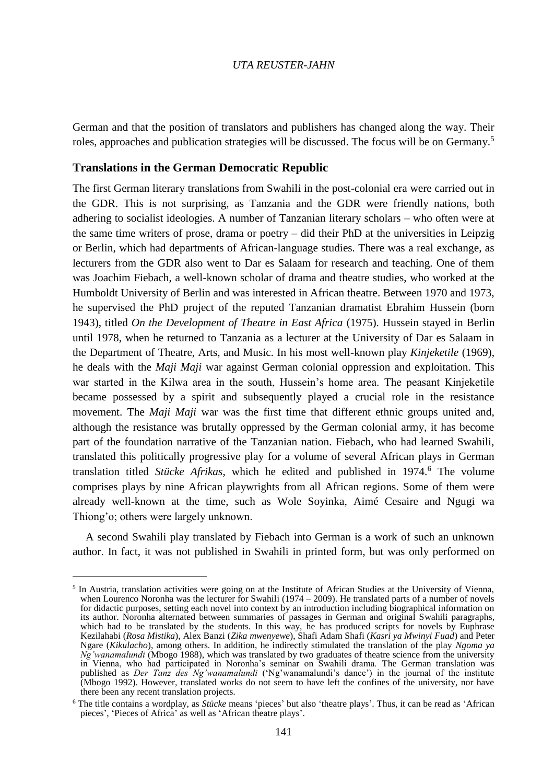German and that the position of translators and publishers has changed along the way. Their roles, approaches and publication strategies will be discussed. The focus will be on Germany.<sup>5</sup>

## **Translations in the German Democratic Republic**

<u>.</u>

The first German literary translations from Swahili in the post-colonial era were carried out in the GDR. This is not surprising, as Tanzania and the GDR were friendly nations, both adhering to socialist ideologies. A number of Tanzanian literary scholars – who often were at the same time writers of prose, drama or poetry – did their PhD at the universities in Leipzig or Berlin, which had departments of African-language studies. There was a real exchange, as lecturers from the GDR also went to Dar es Salaam for research and teaching. One of them was Joachim Fiebach, a well-known scholar of drama and theatre studies, who worked at the Humboldt University of Berlin and was interested in African theatre. Between 1970 and 1973, he supervised the PhD project of the reputed Tanzanian dramatist Ebrahim Hussein (born 1943), titled *On the Development of Theatre in East Africa* (1975). Hussein stayed in Berlin until 1978, when he returned to Tanzania as a lecturer at the University of Dar es Salaam in the Department of Theatre, Arts, and Music. In his most well-known play *Kinjeketile* (1969), he deals with the *Maji Maji* war against German colonial oppression and exploitation. This war started in the Kilwa area in the south, Hussein's home area. The peasant Kinjeketile became possessed by a spirit and subsequently played a crucial role in the resistance movement. The *Maji Maji* war was the first time that different ethnic groups united and, although the resistance was brutally oppressed by the German colonial army, it has become part of the foundation narrative of the Tanzanian nation. Fiebach, who had learned Swahili, translated this politically progressive play for a volume of several African plays in German translation titled *Stücke Afrikas*, which he edited and published in 1974.<sup>6</sup> The volume comprises plays by nine African playwrights from all African regions. Some of them were already well-known at the time, such as Wole Soyinka, Aimé Cesaire and Ngugi wa Thiong'o; others were largely unknown.

A second Swahili play translated by Fiebach into German is a work of such an unknown author. In fact, it was not published in Swahili in printed form, but was only performed on

<sup>&</sup>lt;sup>5</sup> In Austria, translation activities were going on at the Institute of African Studies at the University of Vienna, when Lourenco Noronha was the lecturer for Swahili (1974 – 2009). He translated parts of a number of novels for didactic purposes, setting each novel into context by an introduction including biographical information on its author. Noronha alternated between summaries of passages in German and original Swahili paragraphs, which had to be translated by the students. In this way, he has produced scripts for novels by Euphrase Kezilahabi (*Rosa Mistika*), Alex Banzi (*Zika mwenyewe*), Shafi Adam Shafi (*Kasri ya Mwinyi Fuad*) and Peter Ngare (*Kikulacho*), among others. In addition, he indirectly stimulated the translation of the play *Ngoma ya Ng'wanamalundi* (Mbogo 1988), which was translated by two graduates of theatre science from the university in Vienna, who had participated in Noronha's seminar on Swahili drama. The German translation was published as *Der Tanz des Ng'wanamalundi* ('Ng'wanamalundi's dance') in the journal of the institute (Mbogo 1992). However, translated works do not seem to have left the confines of the university, nor have there been any recent translation projects.

<sup>6</sup> The title contains a wordplay, as *Stücke* means 'pieces' but also 'theatre plays'. Thus, it can be read as 'African pieces', 'Pieces of Africa' as well as 'African theatre plays'.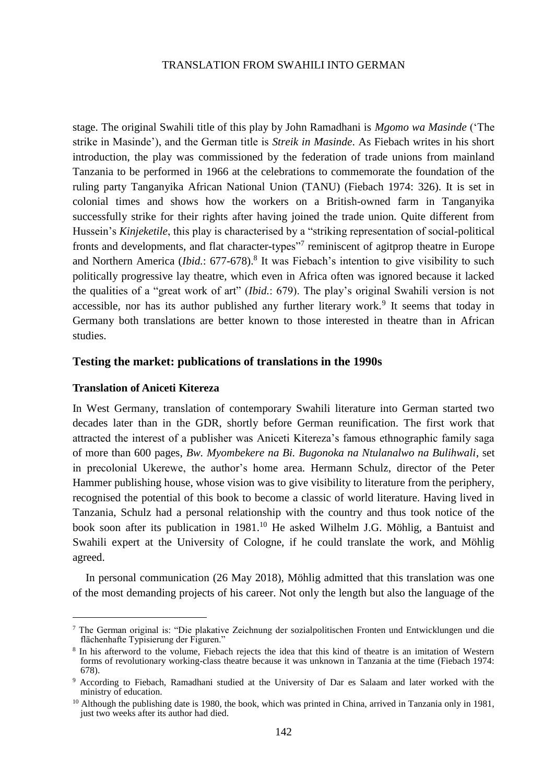stage. The original Swahili title of this play by John Ramadhani is *Mgomo wa Masinde* ('The strike in Masinde'), and the German title is *Streik in Masinde*. As Fiebach writes in his short introduction, the play was commissioned by the federation of trade unions from mainland Tanzania to be performed in 1966 at the celebrations to commemorate the foundation of the ruling party Tanganyika African National Union (TANU) (Fiebach 1974: 326). It is set in colonial times and shows how the workers on a British-owned farm in Tanganyika successfully strike for their rights after having joined the trade union. Quite different from Hussein's *Kinjeketile*, this play is characterised by a "striking representation of social-political fronts and developments, and flat character-types<sup>"7</sup> reminiscent of agitprop theatre in Europe and Northern America (*Ibid.*: 677-678).<sup>8</sup> It was Fiebach's intention to give visibility to such politically progressive lay theatre, which even in Africa often was ignored because it lacked the qualities of a "great work of art" (*Ibid.*: 679). The play's original Swahili version is not accessible, nor has its author published any further literary work.<sup>9</sup> It seems that today in Germany both translations are better known to those interested in theatre than in African studies.

## **Testing the market: publications of translations in the 1990s**

## **Translation of Aniceti Kitereza**

1

In West Germany, translation of contemporary Swahili literature into German started two decades later than in the GDR, shortly before German reunification. The first work that attracted the interest of a publisher was Aniceti Kitereza's famous ethnographic family saga of more than 600 pages, *Bw. Myombekere na Bi. Bugonoka na Ntulanalwo na Bulihwali*, set in precolonial Ukerewe, the author's home area. Hermann Schulz, director of the Peter Hammer publishing house, whose vision was to give visibility to literature from the periphery, recognised the potential of this book to become a classic of world literature. Having lived in Tanzania, Schulz had a personal relationship with the country and thus took notice of the book soon after its publication in 1981.<sup>10</sup> He asked Wilhelm J.G. Möhlig, a Bantuist and Swahili expert at the University of Cologne, if he could translate the work, and Möhlig agreed.

In personal communication (26 May 2018), Möhlig admitted that this translation was one of the most demanding projects of his career. Not only the length but also the language of the

<sup>7</sup> The German original is: "Die plakative Zeichnung der sozialpolitischen Fronten und Entwicklungen und die flächenhafte Typisierung der Figuren."

<sup>&</sup>lt;sup>8</sup> In his afterword to the volume, Fiebach rejects the idea that this kind of theatre is an imitation of Western forms of revolutionary working-class theatre because it was unknown in Tanzania at the time (Fiebach 1974: 678).

<sup>9</sup> According to Fiebach, Ramadhani studied at the University of Dar es Salaam and later worked with the ministry of education.

<sup>&</sup>lt;sup>10</sup> Although the publishing date is 1980, the book, which was printed in China, arrived in Tanzania only in 1981, just two weeks after its author had died.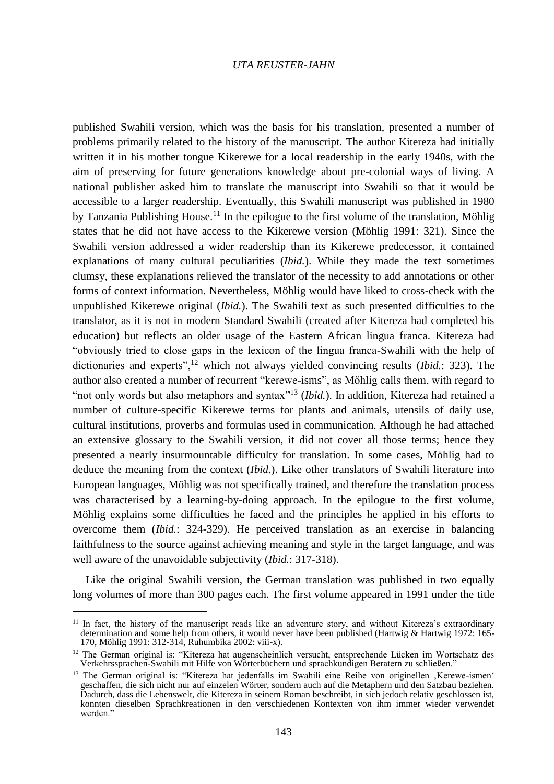published Swahili version, which was the basis for his translation, presented a number of problems primarily related to the history of the manuscript. The author Kitereza had initially written it in his mother tongue Kikerewe for a local readership in the early 1940s, with the aim of preserving for future generations knowledge about pre-colonial ways of living. A national publisher asked him to translate the manuscript into Swahili so that it would be accessible to a larger readership. Eventually, this Swahili manuscript was published in 1980 by Tanzania Publishing House.<sup>11</sup> In the epilogue to the first volume of the translation, Möhlig states that he did not have access to the Kikerewe version (Möhlig 1991: 321). Since the Swahili version addressed a wider readership than its Kikerewe predecessor, it contained explanations of many cultural peculiarities (*Ibid.*). While they made the text sometimes clumsy, these explanations relieved the translator of the necessity to add annotations or other forms of context information. Nevertheless, Möhlig would have liked to cross-check with the unpublished Kikerewe original (*Ibid.*). The Swahili text as such presented difficulties to the translator, as it is not in modern Standard Swahili (created after Kitereza had completed his education) but reflects an older usage of the Eastern African lingua franca. Kitereza had "obviously tried to close gaps in the lexicon of the lingua franca-Swahili with the help of dictionaries and experts",<sup>12</sup> which not always yielded convincing results (*Ibid.*: 323). The author also created a number of recurrent "kerewe-isms", as Möhlig calls them, with regard to "not only words but also metaphors and syntax"<sup>13</sup> (*Ibid.*). In addition, Kitereza had retained a number of culture-specific Kikerewe terms for plants and animals, utensils of daily use, cultural institutions, proverbs and formulas used in communication. Although he had attached an extensive glossary to the Swahili version, it did not cover all those terms; hence they presented a nearly insurmountable difficulty for translation. In some cases, Möhlig had to deduce the meaning from the context (*Ibid.*). Like other translators of Swahili literature into European languages, Möhlig was not specifically trained, and therefore the translation process was characterised by a learning-by-doing approach. In the epilogue to the first volume, Möhlig explains some difficulties he faced and the principles he applied in his efforts to overcome them (*Ibid.*: 324-329). He perceived translation as an exercise in balancing faithfulness to the source against achieving meaning and style in the target language, and was well aware of the unavoidable subjectivity (*Ibid.*: 317-318).

Like the original Swahili version, the German translation was published in two equally long volumes of more than 300 pages each. The first volume appeared in 1991 under the title

<sup>&</sup>lt;sup>11</sup> In fact, the history of the manuscript reads like an adventure story, and without Kitereza's extraordinary determination and some help from others, it would never have been published (Hartwig & Hartwig 1972: 165- 170, Möhlig 1991: 312-314, Ruhumbika 2002: viii-x).

<sup>&</sup>lt;sup>12</sup> The German original is: "Kitereza hat augenscheinlich versucht, entsprechende Lücken im Wortschatz des Verkehrssprachen-Swahili mit Hilfe von Wörterbüchern und sprachkundigen Beratern zu schließen."

<sup>&</sup>lt;sup>13</sup> The German original is: "Kitereza hat jedenfalls im Swahili eine Reihe von originellen ,Kerewe-ismen' geschaffen, die sich nicht nur auf einzelen Wörter, sondern auch auf die Metaphern und den Satzbau beziehen. Dadurch, dass die Lebenswelt, die Kitereza in seinem Roman beschreibt, in sich jedoch relativ geschlossen ist, konnten dieselben Sprachkreationen in den verschiedenen Kontexten von ihm immer wieder verwendet werden."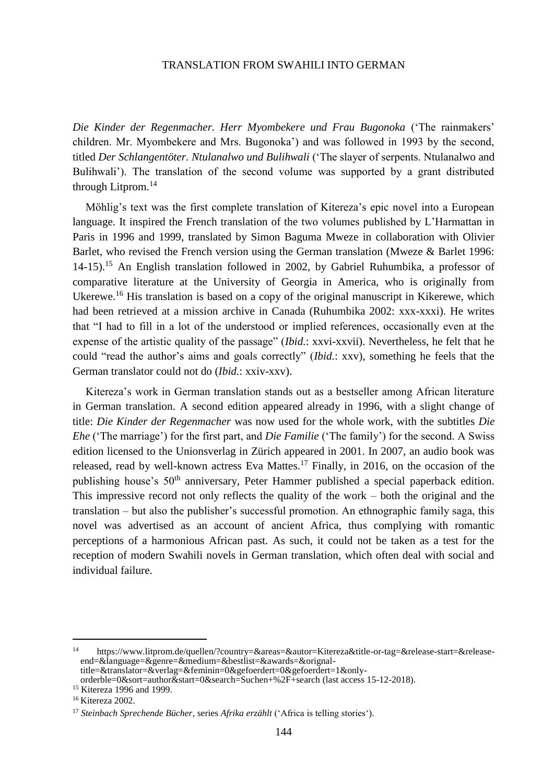*Die Kinder der Regenmacher. Herr Myombekere und Frau Bugonoka* ('The rainmakers' children. Mr. Myombekere and Mrs. Bugonoka') and was followed in 1993 by the second, titled *Der Schlangentöter. Ntulanalwo und Bulihwali* ('The slayer of serpents. Ntulanalwo and Bulihwali'). The translation of the second volume was supported by a grant distributed through Litprom.<sup>14</sup>

Möhlig's text was the first complete translation of Kitereza's epic novel into a European language. It inspired the French translation of the two volumes published by L'Harmattan in Paris in 1996 and 1999, translated by Simon Baguma Mweze in collaboration with Olivier Barlet, who revised the French version using the German translation (Mweze & Barlet 1996: 14-15).<sup>15</sup> An English translation followed in 2002, by Gabriel Ruhumbika, a professor of comparative literature at the University of Georgia in America, who is originally from Ukerewe.<sup>16</sup> His translation is based on a copy of the original manuscript in Kikerewe, which had been retrieved at a mission archive in Canada (Ruhumbika 2002: xxx-xxxi). He writes that "I had to fill in a lot of the understood or implied references, occasionally even at the expense of the artistic quality of the passage" (*Ibid.*: xxvi-xxvii). Nevertheless, he felt that he could "read the author's aims and goals correctly" (*Ibid.*: xxv), something he feels that the German translator could not do (*Ibid.*: xxiv-xxv).

Kitereza's work in German translation stands out as a bestseller among African literature in German translation. A second edition appeared already in 1996, with a slight change of title: *Die Kinder der Regenmacher* was now used for the whole work, with the subtitles *Die Ehe* ('The marriage') for the first part, and *Die Familie* ('The family') for the second. A Swiss edition licensed to the Unionsverlag in Zürich appeared in 2001. In 2007, an audio book was released, read by well-known actress Eva Mattes.<sup>17</sup> Finally, in 2016, on the occasion of the publishing house's 50<sup>th</sup> anniversary, Peter Hammer published a special paperback edition. This impressive record not only reflects the quality of the work – both the original and the translation – but also the publisher's successful promotion. An ethnographic family saga, this novel was advertised as an account of ancient Africa, thus complying with romantic perceptions of a harmonious African past. As such, it could not be taken as a test for the reception of modern Swahili novels in German translation, which often deal with social and individual failure.

<sup>14</sup> https://www.litprom.de/quellen/?country=&areas=&autor=Kitereza&title-or-tag=&release-start=&releaseend=&language=&genre=&medium=&bestlist=&awards=&orignaltitle=&translator=&verlag=&feminin=0&gefoerdert=0&gefoerdert=1&only-

orderble=0&sort=author&start=0&search=Suchen+%2F+search (last access 15-12-2018).

<sup>&</sup>lt;sup>15</sup> Kitereza 1996 and 1999.

<sup>16</sup> Kitereza 2002.

<sup>17</sup> *Steinbach Sprechende Bücher*, series *Afrika erzählt* ('Africa is telling stories').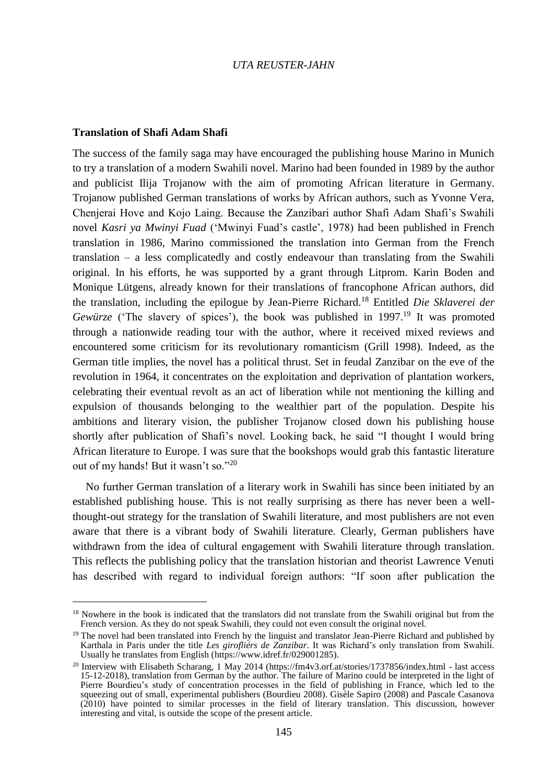## **Translation of Shafi Adam Shafi**

<u>.</u>

The success of the family saga may have encouraged the publishing house Marino in Munich to try a translation of a modern Swahili novel. Marino had been founded in 1989 by the author and publicist Ilija Trojanow with the aim of promoting African literature in Germany. Trojanow published German translations of works by African authors, such as Yvonne Vera, Chenjerai Hove and Kojo Laing. Because the Zanzibari author Shafi Adam Shafi's Swahili novel *Kasri ya Mwinyi Fuad* ('Mwinyi Fuad's castle', 1978) had been published in French translation in 1986, Marino commissioned the translation into German from the French translation – a less complicatedly and costly endeavour than translating from the Swahili original. In his efforts, he was supported by a grant through Litprom. Karin Boden and Monique Lütgens, already known for their translations of francophone African authors, did the translation, including the epilogue by Jean-Pierre Richard.<sup>18</sup> Entitled *Die Sklaverei der Gewürze* ('The slavery of spices'), the book was published in 1997.<sup>19</sup> It was promoted through a nationwide reading tour with the author, where it received mixed reviews and encountered some criticism for its revolutionary romanticism (Grill 1998). Indeed, as the German title implies, the novel has a political thrust. Set in feudal Zanzibar on the eve of the revolution in 1964, it concentrates on the exploitation and deprivation of plantation workers, celebrating their eventual revolt as an act of liberation while not mentioning the killing and expulsion of thousands belonging to the wealthier part of the population. Despite his ambitions and literary vision, the publisher Trojanow closed down his publishing house shortly after publication of Shafi's novel. Looking back, he said "I thought I would bring African literature to Europe. I was sure that the bookshops would grab this fantastic literature out of my hands! But it wasn't so."<sup>20</sup>

No further German translation of a literary work in Swahili has since been initiated by an established publishing house. This is not really surprising as there has never been a wellthought-out strategy for the translation of Swahili literature, and most publishers are not even aware that there is a vibrant body of Swahili literature. Clearly, German publishers have withdrawn from the idea of cultural engagement with Swahili literature through translation. This reflects the publishing policy that the translation historian and theorist Lawrence Venuti has described with regard to individual foreign authors: "If soon after publication the

<sup>&</sup>lt;sup>18</sup> Nowhere in the book is indicated that the translators did not translate from the Swahili original but from the French version. As they do not speak Swahili, they could not even consult the original novel.

<sup>&</sup>lt;sup>19</sup> The novel had been translated into French by the linguist and translator Jean-Pierre Richard and published by Karthala in Paris under the title *Les girofliérs de Zanzibar*. It was Richard's only translation from Swahili. Usually he translates from English (https://www.idref.fr/029001285).

<sup>&</sup>lt;sup>20</sup> Interview with Elisabeth Scharang, 1 May 2014 [\(https://fm4v3.orf.at/stories/1737856/index.html -](https://fm4v3.orf.at/stories/1737856/index.html%20-%20last%20access%2015-12-2018) last access [15-12-2018\)](https://fm4v3.orf.at/stories/1737856/index.html%20-%20last%20access%2015-12-2018), translation from German by the author. The failure of Marino could be interpreted in the light of Pierre Bourdieu's study of concentration processes in the field of publishing in France, which led to the squeezing out of small, experimental publishers (Bourdieu 2008). Gisèle Sapiro (2008) and Pascale Casanova (2010) have pointed to similar processes in the field of literary translation. This discussion, however interesting and vital, is outside the scope of the present article.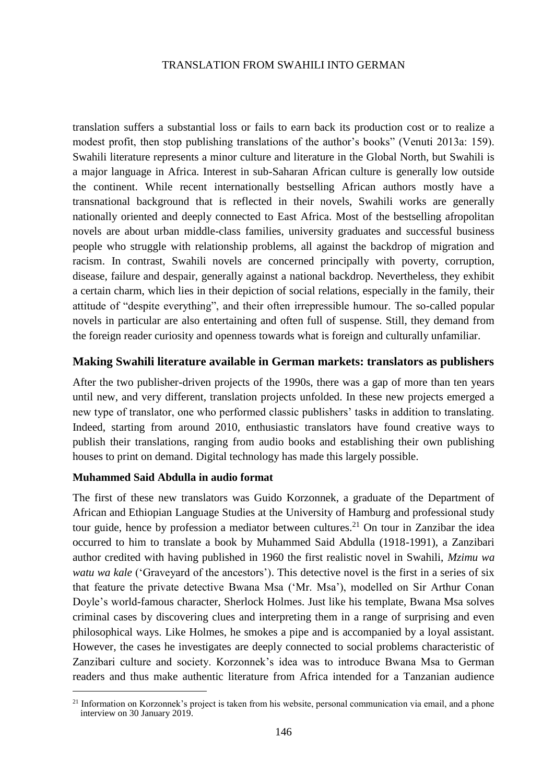translation suffers a substantial loss or fails to earn back its production cost or to realize a modest profit, then stop publishing translations of the author's books" (Venuti 2013a: 159). Swahili literature represents a minor culture and literature in the Global North, but Swahili is a major language in Africa. Interest in sub-Saharan African culture is generally low outside the continent. While recent internationally bestselling African authors mostly have a transnational background that is reflected in their novels, Swahili works are generally nationally oriented and deeply connected to East Africa. Most of the bestselling afropolitan novels are about urban middle-class families, university graduates and successful business people who struggle with relationship problems, all against the backdrop of migration and racism. In contrast, Swahili novels are concerned principally with poverty, corruption, disease, failure and despair, generally against a national backdrop. Nevertheless, they exhibit a certain charm, which lies in their depiction of social relations, especially in the family, their attitude of "despite everything", and their often irrepressible humour. The so-called popular novels in particular are also entertaining and often full of suspense. Still, they demand from the foreign reader curiosity and openness towards what is foreign and culturally unfamiliar.

## **Making Swahili literature available in German markets: translators as publishers**

After the two publisher-driven projects of the 1990s, there was a gap of more than ten years until new, and very different, translation projects unfolded. In these new projects emerged a new type of translator, one who performed classic publishers' tasks in addition to translating. Indeed, starting from around 2010, enthusiastic translators have found creative ways to publish their translations, ranging from audio books and establishing their own publishing houses to print on demand. Digital technology has made this largely possible.

## **Muhammed Said Abdulla in audio format**

<u>.</u>

The first of these new translators was Guido Korzonnek, a graduate of the Department of African and Ethiopian Language Studies at the University of Hamburg and professional study tour guide, hence by profession a mediator between cultures.<sup>21</sup> On tour in Zanzibar the idea occurred to him to translate a book by Muhammed Said Abdulla (1918-1991), a Zanzibari author credited with having published in 1960 the first realistic novel in Swahili, *Mzimu wa watu wa kale* ('Graveyard of the ancestors'). This detective novel is the first in a series of six that feature the private detective Bwana Msa ('Mr. Msa'), modelled on Sir Arthur Conan Doyle's world-famous character, Sherlock Holmes. Just like his template, Bwana Msa solves criminal cases by discovering clues and interpreting them in a range of surprising and even philosophical ways. Like Holmes, he smokes a pipe and is accompanied by a loyal assistant. However, the cases he investigates are deeply connected to social problems characteristic of Zanzibari culture and society. Korzonnek's idea was to introduce Bwana Msa to German readers and thus make authentic literature from Africa intended for a Tanzanian audience

<sup>&</sup>lt;sup>21</sup> Information on Korzonnek's project is taken from his website, personal communication via email, and a phone interview on 30 January 2019.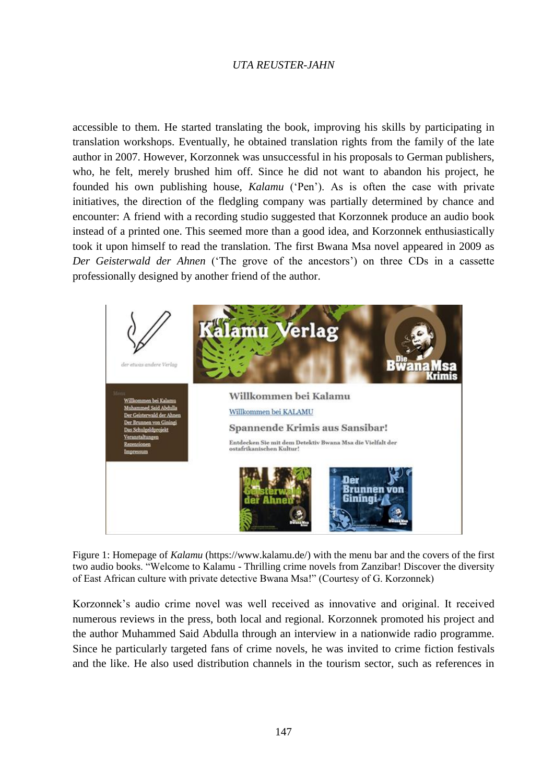accessible to them. He started translating the book, improving his skills by participating in translation workshops. Eventually, he obtained translation rights from the family of the late author in 2007. However, Korzonnek was unsuccessful in his proposals to German publishers, who, he felt, merely brushed him off. Since he did not want to abandon his project, he founded his own publishing house, *Kalamu* ('Pen'). As is often the case with private initiatives, the direction of the fledgling company was partially determined by chance and encounter: A friend with a recording studio suggested that Korzonnek produce an audio book instead of a printed one. This seemed more than a good idea, and Korzonnek enthusiastically took it upon himself to read the translation. The first Bwana Msa novel appeared in 2009 as *Der Geisterwald der Ahnen* ('The grove of the ancestors') on three CDs in a cassette professionally designed by another friend of the author.



Figure 1: Homepage of *Kalamu* (https://www.kalamu.de/) with the menu bar and the covers of the first two audio books. "Welcome to Kalamu - Thrilling crime novels from Zanzibar! Discover the diversity of East African culture with private detective Bwana Msa!" (Courtesy of G. Korzonnek)

Korzonnek's audio crime novel was well received as innovative and original. It received numerous reviews in the press, both local and regional. Korzonnek promoted his project and the author Muhammed Said Abdulla through an interview in a nationwide radio programme. Since he particularly targeted fans of crime novels, he was invited to crime fiction festivals and the like. He also used distribution channels in the tourism sector, such as references in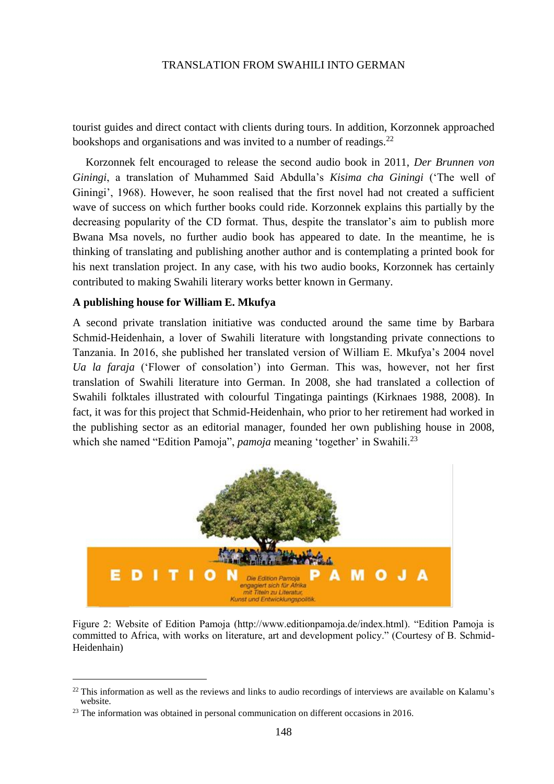tourist guides and direct contact with clients during tours. In addition, Korzonnek approached bookshops and organisations and was invited to a number of readings.<sup>22</sup>

Korzonnek felt encouraged to release the second audio book in 2011, *Der Brunnen von Giningi*, a translation of Muhammed Said Abdulla's *Kisima cha Giningi* ('The well of Giningi', 1968). However, he soon realised that the first novel had not created a sufficient wave of success on which further books could ride. Korzonnek explains this partially by the decreasing popularity of the CD format. Thus, despite the translator's aim to publish more Bwana Msa novels, no further audio book has appeared to date. In the meantime, he is thinking of translating and publishing another author and is contemplating a printed book for his next translation project. In any case, with his two audio books, Korzonnek has certainly contributed to making Swahili literary works better known in Germany.

## **A publishing house for William E. Mkufya**

1

A second private translation initiative was conducted around the same time by Barbara Schmid-Heidenhain, a lover of Swahili literature with longstanding private connections to Tanzania. In 2016, she published her translated version of William E. Mkufya's 2004 novel *Ua la faraja* ('Flower of consolation') into German. This was, however, not her first translation of Swahili literature into German. In 2008, she had translated a collection of Swahili folktales illustrated with colourful Tingatinga paintings (Kirknaes 1988, 2008). In fact, it was for this project that Schmid-Heidenhain, who prior to her retirement had worked in the publishing sector as an editorial manager, founded her own publishing house in 2008, which she named "Edition Pamoja", *pamoja* meaning 'together' in Swahili.<sup>23</sup>



Figure 2: Website of Edition Pamoja (http://www.editionpamoja.de/index.html). "Edition Pamoja is committed to Africa, with works on literature, art and development policy." (Courtesy of B. Schmid-Heidenhain)

 $^{22}$  This information as well as the reviews and links to audio recordings of interviews are available on Kalamu's website.

<sup>&</sup>lt;sup>23</sup> The information was obtained in personal communication on different occasions in 2016.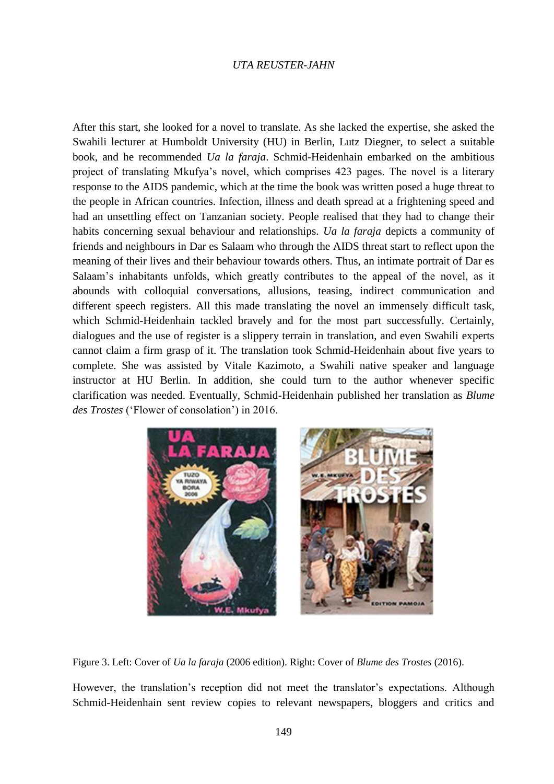After this start, she looked for a novel to translate. As she lacked the expertise, she asked the Swahili lecturer at Humboldt University (HU) in Berlin, Lutz Diegner, to select a suitable book, and he recommended *Ua la faraja*. Schmid-Heidenhain embarked on the ambitious project of translating Mkufya's novel, which comprises 423 pages. The novel is a literary response to the AIDS pandemic, which at the time the book was written posed a huge threat to the people in African countries. Infection, illness and death spread at a frightening speed and had an unsettling effect on Tanzanian society. People realised that they had to change their habits concerning sexual behaviour and relationships. *Ua la faraja* depicts a community of friends and neighbours in Dar es Salaam who through the AIDS threat start to reflect upon the meaning of their lives and their behaviour towards others. Thus, an intimate portrait of Dar es Salaam's inhabitants unfolds, which greatly contributes to the appeal of the novel, as it abounds with colloquial conversations, allusions, teasing, indirect communication and different speech registers. All this made translating the novel an immensely difficult task, which Schmid-Heidenhain tackled bravely and for the most part successfully. Certainly, dialogues and the use of register is a slippery terrain in translation, and even Swahili experts cannot claim a firm grasp of it. The translation took Schmid-Heidenhain about five years to complete. She was assisted by Vitale Kazimoto, a Swahili native speaker and language instructor at HU Berlin. In addition, she could turn to the author whenever specific clarification was needed. Eventually, Schmid-Heidenhain published her translation as *Blume des Trostes* ('Flower of consolation') in 2016.



Figure 3. Left: Cover of *Ua la faraja* (2006 edition). Right: Cover of *Blume des Trostes* (2016).

However, the translation's reception did not meet the translator's expectations. Although Schmid-Heidenhain sent review copies to relevant newspapers, bloggers and critics and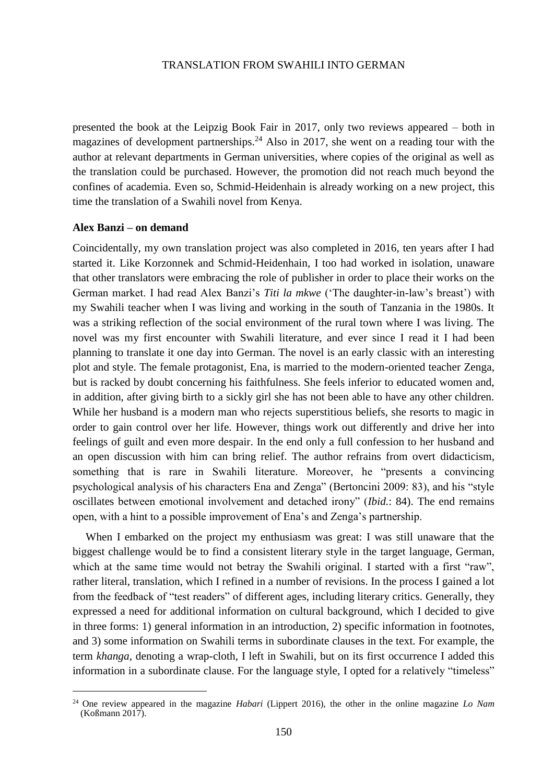presented the book at the Leipzig Book Fair in 2017, only two reviews appeared – both in magazines of development partnerships.<sup>24</sup> Also in 2017, she went on a reading tour with the author at relevant departments in German universities, where copies of the original as well as the translation could be purchased. However, the promotion did not reach much beyond the confines of academia. Even so, Schmid-Heidenhain is already working on a new project, this time the translation of a Swahili novel from Kenya.

#### **Alex Banzi – on demand**

<u>.</u>

Coincidentally, my own translation project was also completed in 2016, ten years after I had started it. Like Korzonnek and Schmid-Heidenhain, I too had worked in isolation, unaware that other translators were embracing the role of publisher in order to place their works on the German market. I had read Alex Banzi's *Titi la mkwe* ('The daughter-in-law's breast') with my Swahili teacher when I was living and working in the south of Tanzania in the 1980s. It was a striking reflection of the social environment of the rural town where I was living. The novel was my first encounter with Swahili literature, and ever since I read it I had been planning to translate it one day into German. The novel is an early classic with an interesting plot and style. The female protagonist, Ena, is married to the modern-oriented teacher Zenga, but is racked by doubt concerning his faithfulness. She feels inferior to educated women and, in addition, after giving birth to a sickly girl she has not been able to have any other children. While her husband is a modern man who rejects superstitious beliefs, she resorts to magic in order to gain control over her life. However, things work out differently and drive her into feelings of guilt and even more despair. In the end only a full confession to her husband and an open discussion with him can bring relief. The author refrains from overt didacticism, something that is rare in Swahili literature. Moreover, he "presents a convincing psychological analysis of his characters Ena and Zenga" (Bertoncini 2009: 83), and his "style oscillates between emotional involvement and detached irony" (*Ibid.*: 84). The end remains open, with a hint to a possible improvement of Ena's and Zenga's partnership.

When I embarked on the project my enthusiasm was great: I was still unaware that the biggest challenge would be to find a consistent literary style in the target language, German, which at the same time would not betray the Swahili original. I started with a first "raw", rather literal, translation, which I refined in a number of revisions. In the process I gained a lot from the feedback of "test readers" of different ages, including literary critics. Generally, they expressed a need for additional information on cultural background, which I decided to give in three forms: 1) general information in an introduction, 2) specific information in footnotes, and 3) some information on Swahili terms in subordinate clauses in the text. For example, the term *khanga*, denoting a wrap-cloth, I left in Swahili, but on its first occurrence I added this information in a subordinate clause. For the language style, I opted for a relatively "timeless"

<sup>24</sup> One review appeared in the magazine *Habari* (Lippert 2016), the other in the online magazine *Lo Nam* (Koßmann 2017).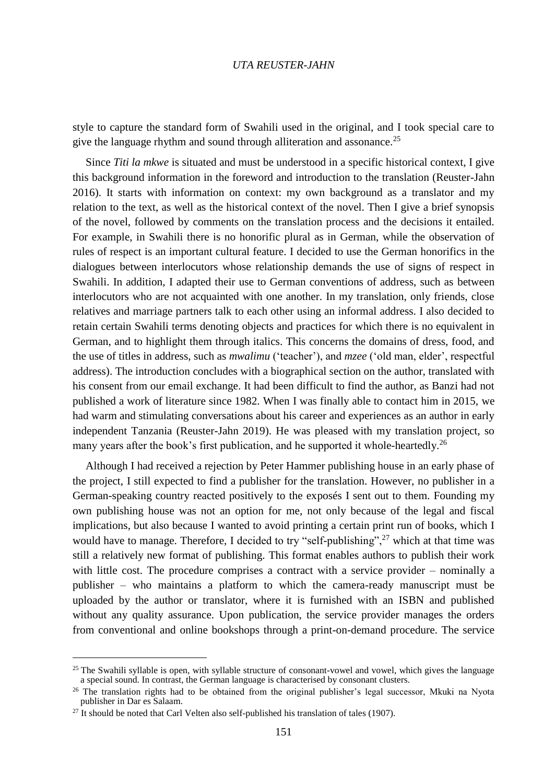style to capture the standard form of Swahili used in the original, and I took special care to give the language rhythm and sound through alliteration and assonance.<sup>25</sup>

Since *Titi la mkwe* is situated and must be understood in a specific historical context, I give this background information in the foreword and introduction to the translation (Reuster-Jahn 2016). It starts with information on context: my own background as a translator and my relation to the text, as well as the historical context of the novel. Then I give a brief synopsis of the novel, followed by comments on the translation process and the decisions it entailed. For example, in Swahili there is no honorific plural as in German, while the observation of rules of respect is an important cultural feature. I decided to use the German honorifics in the dialogues between interlocutors whose relationship demands the use of signs of respect in Swahili. In addition, I adapted their use to German conventions of address, such as between interlocutors who are not acquainted with one another. In my translation, only friends, close relatives and marriage partners talk to each other using an informal address. I also decided to retain certain Swahili terms denoting objects and practices for which there is no equivalent in German, and to highlight them through italics. This concerns the domains of dress, food, and the use of titles in address, such as *mwalimu* ('teacher'), and *mzee* ('old man, elder', respectful address). The introduction concludes with a biographical section on the author, translated with his consent from our email exchange. It had been difficult to find the author, as Banzi had not published a work of literature since 1982. When I was finally able to contact him in 2015, we had warm and stimulating conversations about his career and experiences as an author in early independent Tanzania (Reuster-Jahn 2019). He was pleased with my translation project, so many years after the book's first publication, and he supported it whole-heartedly.<sup>26</sup>

Although I had received a rejection by Peter Hammer publishing house in an early phase of the project, I still expected to find a publisher for the translation. However, no publisher in a German-speaking country reacted positively to the exposés I sent out to them. Founding my own publishing house was not an option for me, not only because of the legal and fiscal implications, but also because I wanted to avoid printing a certain print run of books, which I would have to manage. Therefore, I decided to try "self-publishing",  $27$  which at that time was still a relatively new format of publishing. This format enables authors to publish their work with little cost. The procedure comprises a contract with a service provider – nominally a publisher – who maintains a platform to which the camera-ready manuscript must be uploaded by the author or translator, where it is furnished with an ISBN and published without any quality assurance. Upon publication, the service provider manages the orders from conventional and online bookshops through a print-on-demand procedure. The service

 $25$  The Swahili syllable is open, with syllable structure of consonant-vowel and vowel, which gives the language a special sound. In contrast, the German language is characterised by consonant clusters.

 $26$  The translation rights had to be obtained from the original publisher's legal successor, Mkuki na Nyota publisher in Dar es Salaam.

 $^{27}$  It should be noted that Carl Velten also self-published his translation of tales (1907).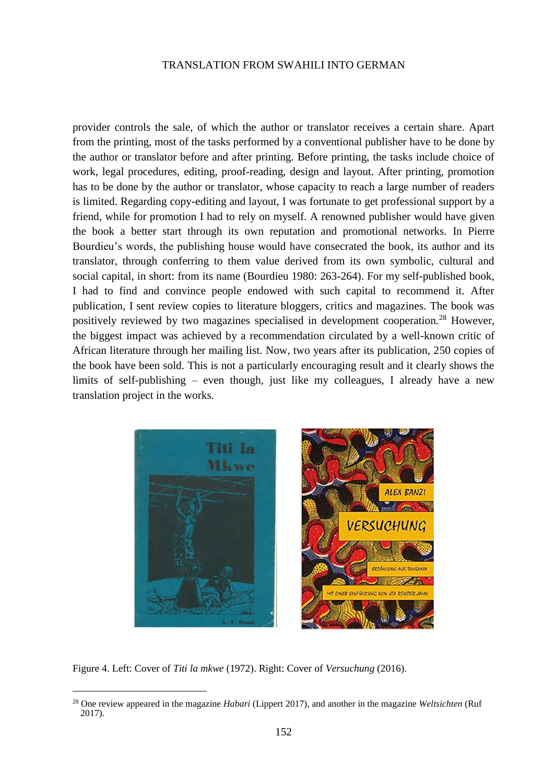provider controls the sale, of which the author or translator receives a certain share. Apart from the printing, most of the tasks performed by a conventional publisher have to be done by the author or translator before and after printing. Before printing, the tasks include choice of work, legal procedures, editing, proof-reading, design and layout. After printing, promotion has to be done by the author or translator, whose capacity to reach a large number of readers is limited. Regarding copy-editing and layout, I was fortunate to get professional support by a friend, while for promotion I had to rely on myself. A renowned publisher would have given the book a better start through its own reputation and promotional networks. In Pierre Bourdieu's words, the publishing house would have consecrated the book, its author and its translator, through conferring to them value derived from its own symbolic, cultural and social capital, in short: from its name (Bourdieu 1980: 263-264). For my self-published book, I had to find and convince people endowed with such capital to recommend it. After publication, I sent review copies to literature bloggers, critics and magazines. The book was positively reviewed by two magazines specialised in development cooperation.<sup>28</sup> However, the biggest impact was achieved by a recommendation circulated by a well-known critic of African literature through her mailing list. Now, two years after its publication, 250 copies of the book have been sold. This is not a particularly encouraging result and it clearly shows the limits of self-publishing – even though, just like my colleagues, I already have a new translation project in the works.



Figure 4. Left: Cover of *Titi la mkwe* (1972). Right: Cover of *Versuchung* (2016).

<sup>28</sup> One review appeared in the magazine *Habari* (Lippert 2017), and another in the magazine *Weltsichten* (Ruf 2017).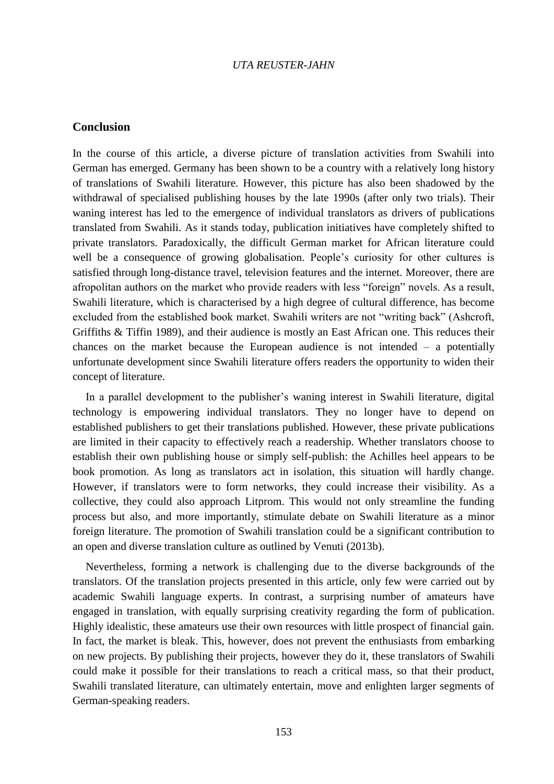## **Conclusion**

In the course of this article, a diverse picture of translation activities from Swahili into German has emerged. Germany has been shown to be a country with a relatively long history of translations of Swahili literature. However, this picture has also been shadowed by the withdrawal of specialised publishing houses by the late 1990s (after only two trials). Their waning interest has led to the emergence of individual translators as drivers of publications translated from Swahili. As it stands today, publication initiatives have completely shifted to private translators. Paradoxically, the difficult German market for African literature could well be a consequence of growing globalisation. People's curiosity for other cultures is satisfied through long-distance travel, television features and the internet. Moreover, there are afropolitan authors on the market who provide readers with less "foreign" novels. As a result, Swahili literature, which is characterised by a high degree of cultural difference, has become excluded from the established book market. Swahili writers are not "writing back" (Ashcroft, Griffiths & Tiffin 1989), and their audience is mostly an East African one. This reduces their chances on the market because the European audience is not intended – a potentially unfortunate development since Swahili literature offers readers the opportunity to widen their concept of literature.

In a parallel development to the publisher's waning interest in Swahili literature, digital technology is empowering individual translators. They no longer have to depend on established publishers to get their translations published. However, these private publications are limited in their capacity to effectively reach a readership. Whether translators choose to establish their own publishing house or simply self-publish: the Achilles heel appears to be book promotion. As long as translators act in isolation, this situation will hardly change. However, if translators were to form networks, they could increase their visibility. As a collective, they could also approach Litprom. This would not only streamline the funding process but also, and more importantly, stimulate debate on Swahili literature as a minor foreign literature. The promotion of Swahili translation could be a significant contribution to an open and diverse translation culture as outlined by Venuti (2013b).

Nevertheless, forming a network is challenging due to the diverse backgrounds of the translators. Of the translation projects presented in this article, only few were carried out by academic Swahili language experts. In contrast, a surprising number of amateurs have engaged in translation, with equally surprising creativity regarding the form of publication. Highly idealistic, these amateurs use their own resources with little prospect of financial gain. In fact, the market is bleak. This, however, does not prevent the enthusiasts from embarking on new projects. By publishing their projects, however they do it, these translators of Swahili could make it possible for their translations to reach a critical mass, so that their product, Swahili translated literature, can ultimately entertain, move and enlighten larger segments of German-speaking readers.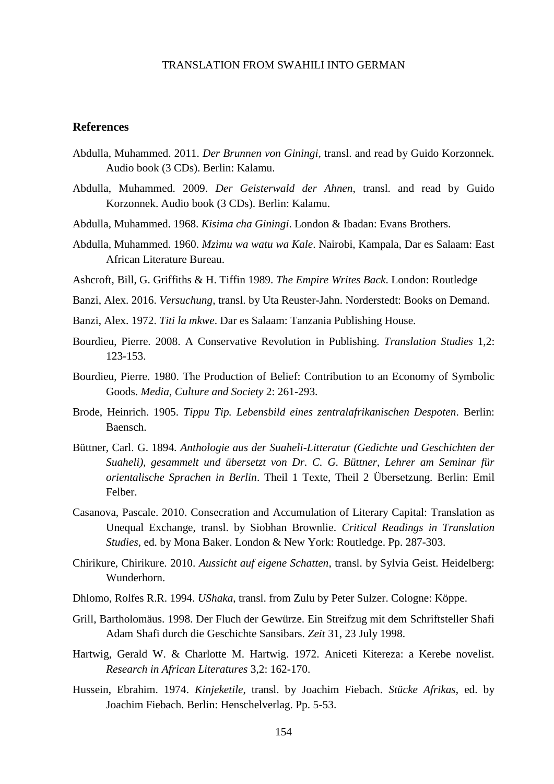#### **References**

- Abdulla, Muhammed. 2011. *Der Brunnen von Giningi,* transl. and read by Guido Korzonnek. Audio book (3 CDs). Berlin: Kalamu.
- Abdulla, Muhammed. 2009. *Der Geisterwald der Ahnen*, transl. and read by Guido Korzonnek. Audio book (3 CDs). Berlin: Kalamu.
- Abdulla, Muhammed. 1968. *Kisima cha Giningi*. London & Ibadan: Evans Brothers.
- Abdulla, Muhammed. 1960. *Mzimu wa watu wa Kale*. Nairobi, Kampala, Dar es Salaam: East African Literature Bureau.
- Ashcroft, Bill, G. Griffiths & H. Tiffin 1989. *The Empire Writes Back*. London: Routledge
- Banzi, Alex. 2016. *Versuchung*, transl. by Uta Reuster-Jahn. Norderstedt: Books on Demand.
- Banzi, Alex. 1972. *Titi la mkwe*. Dar es Salaam: Tanzania Publishing House.
- Bourdieu, Pierre. 2008. A Conservative Revolution in Publishing. *Translation Studies* 1,2: 123-153.
- Bourdieu, Pierre. 1980. The Production of Belief: Contribution to an Economy of Symbolic Goods. *Media, Culture and Society* 2: 261-293.
- Brode, Heinrich. 1905. *Tippu Tip. Lebensbild eines zentralafrikanischen Despoten*. Berlin: Baensch.
- Büttner, Carl. G. 1894. *Anthologie aus der Suaheli-Litteratur (Gedichte und Geschichten der Suaheli), gesammelt und übersetzt von Dr. C. G. Büttner, Lehrer am Seminar für orientalische Sprachen in Berlin*. Theil 1 Texte, Theil 2 Übersetzung. Berlin: Emil Felber.
- Casanova, Pascale. 2010. Consecration and Accumulation of Literary Capital: Translation as Unequal Exchange, transl. by Siobhan Brownlie. *Critical Readings in Translation Studies*, ed. by Mona Baker. London & New York: Routledge. Pp. 287-303.
- Chirikure, Chirikure. 2010. *Aussicht auf eigene Schatten*, transl. by Sylvia Geist. Heidelberg: Wunderhorn.
- Dhlomo, Rolfes R.R. 1994. *UShaka*, transl. from Zulu by Peter Sulzer. Cologne: Köppe.
- Grill, Bartholomäus. 1998. Der Fluch der Gewürze. Ein Streifzug mit dem Schriftsteller Shafi Adam Shafi durch die Geschichte Sansibars. *Zeit* 31, 23 July 1998.
- Hartwig, Gerald W. & Charlotte M. Hartwig. 1972. Aniceti Kitereza: a Kerebe novelist. *Research in African Literatures* 3,2: 162-170.
- Hussein, Ebrahim. 1974. *Kinjeketile*, transl. by Joachim Fiebach. *Stücke Afrikas*, ed. by Joachim Fiebach. Berlin: Henschelverlag. Pp. 5-53.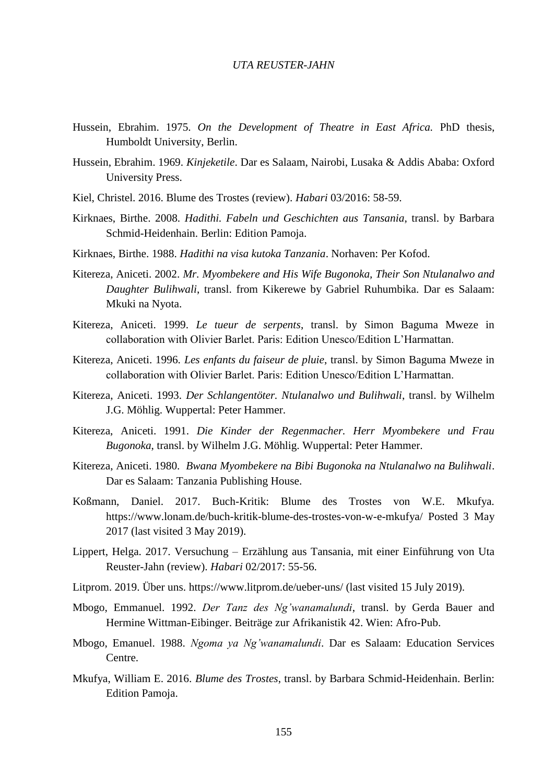- Hussein, Ebrahim. 1975. *On the Development of Theatre in East Africa.* PhD thesis, Humboldt University, Berlin.
- Hussein, Ebrahim. 1969. *Kinjeketile*. Dar es Salaam, Nairobi, Lusaka & Addis Ababa: Oxford University Press.
- Kiel, Christel. 2016. Blume des Trostes (review). *Habari* 03/2016: 58-59.
- Kirknaes, Birthe. 2008. *Hadithi. Fabeln und Geschichten aus Tansania*, transl. by Barbara Schmid-Heidenhain. Berlin: Edition Pamoja.
- Kirknaes, Birthe. 1988. *Hadithi na visa kutoka Tanzania*. Norhaven: Per Kofod.
- Kitereza, Aniceti. 2002. *Mr. Myombekere and His Wife Bugonoka, Their Son Ntulanalwo and Daughter Bulihwali*, transl. from Kikerewe by Gabriel Ruhumbika. Dar es Salaam: Mkuki na Nyota.
- Kitereza, Aniceti. 1999. *Le tueur de serpents*, transl. by Simon Baguma Mweze in collaboration with Olivier Barlet. Paris: Edition Unesco/Edition L'Harmattan.
- Kitereza, Aniceti. 1996. *Les enfants du faiseur de pluie*, transl. by Simon Baguma Mweze in collaboration with Olivier Barlet. Paris: Edition Unesco/Edition L'Harmattan.
- Kitereza, Aniceti. 1993. *Der Schlangentöter. Ntulanalwo und Bulihwali*, transl. by Wilhelm J.G. Möhlig. Wuppertal: Peter Hammer.
- Kitereza, Aniceti. 1991. *Die Kinder der Regenmacher. Herr Myombekere und Frau Bugonoka*, transl. by Wilhelm J.G. Möhlig. Wuppertal: Peter Hammer.
- Kitereza, Aniceti. 1980. *Bwana Myombekere na Bibi Bugonoka na Ntulanalwo na Bulihwali*. Dar es Salaam: Tanzania Publishing House.
- Koßmann, Daniel. 2017. Buch-Kritik: Blume des Trostes von W.E. Mkufya. <https://www.lonam.de/buch-kritik-blume-des-trostes-von-w-e-mkufya/> Posted 3 May 2017 (last visited 3 May 2019).
- Lippert, Helga. 2017. Versuchung Erzählung aus Tansania, mit einer Einführung von Uta Reuster-Jahn (review). *Habari* 02/2017: 55-56.
- Litprom. 2019. Über uns.<https://www.litprom.de/ueber-uns/> (last visited 15 July 2019).
- Mbogo, Emmanuel. 1992. *Der Tanz des Ng'wanamalundi*, transl. by Gerda Bauer and Hermine Wittman-Eibinger. Beiträge zur Afrikanistik 42. Wien: Afro-Pub.
- Mbogo, Emanuel. 1988. *Ngoma ya Ng'wanamalundi*. Dar es Salaam: Education Services Centre.
- Mkufya, William E. 2016. *Blume des Trostes*, transl. by Barbara Schmid-Heidenhain. Berlin: Edition Pamoja.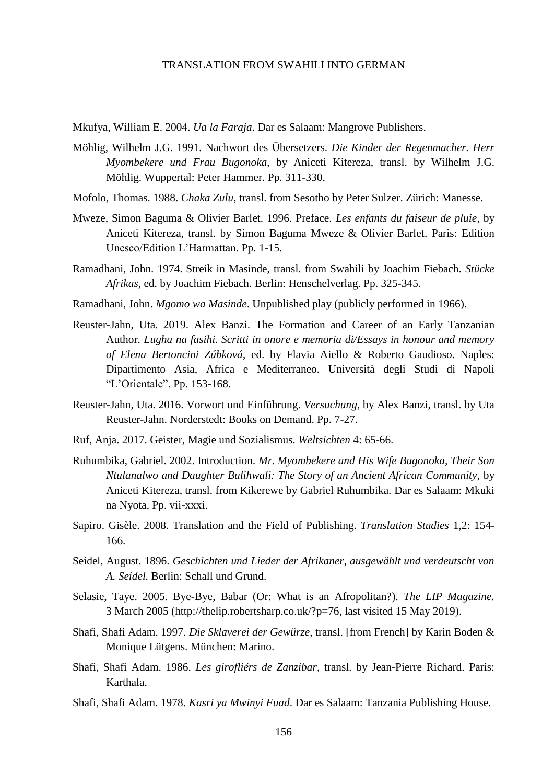Mkufya, William E. 2004. *Ua la Faraja*. Dar es Salaam: Mangrove Publishers.

- Möhlig, Wilhelm J.G. 1991. Nachwort des Übersetzers. *Die Kinder der Regenmacher. Herr Myombekere und Frau Bugonoka*, by Aniceti Kitereza, transl. by Wilhelm J.G. Möhlig. Wuppertal: Peter Hammer. Pp. 311-330.
- Mofolo, Thomas. 1988. *Chaka Zulu*, transl. from Sesotho by Peter Sulzer. Zürich: Manesse.
- Mweze, Simon Baguma & Olivier Barlet. 1996. Preface. *Les enfants du faiseur de pluie*, by Aniceti Kitereza, transl. by Simon Baguma Mweze & Olivier Barlet. Paris: Edition Unesco/Edition L'Harmattan. Pp. 1-15.
- Ramadhani, John. 1974. Streik in Masinde, transl. from Swahili by Joachim Fiebach. *Stücke Afrikas*, ed. by Joachim Fiebach. Berlin: Henschelverlag. Pp. 325-345.
- Ramadhani, John. *Mgomo wa Masinde*. Unpublished play (publicly performed in 1966).
- Reuster-Jahn, Uta. 2019. Alex Banzi. The Formation and Career of an Early Tanzanian Author. *Lugha na fasihi. Scritti in onore e memoria di/Essays in honour and memory of Elena Bertoncini Zúbková*, ed. by Flavia Aiello & Roberto Gaudioso. Naples: Dipartimento Asia, Africa e Mediterraneo. Università degli Studi di Napoli "L'Orientale". Pp. 153-168.
- Reuster-Jahn, Uta. 2016. Vorwort und Einführung. *Versuchung*, by Alex Banzi, transl. by Uta Reuster-Jahn. Norderstedt: Books on Demand. Pp. 7-27.
- Ruf, Anja. 2017. Geister, Magie und Sozialismus. *Weltsichten* 4: 65-66.
- Ruhumbika, Gabriel. 2002. Introduction. *Mr. Myombekere and His Wife Bugonoka, Their Son Ntulanalwo and Daughter Bulihwali: The Story of an Ancient African Community,* by Aniceti Kitereza, transl. from Kikerewe by Gabriel Ruhumbika. Dar es Salaam: Mkuki na Nyota. Pp. vii-xxxi.
- Sapiro. Gisèle. 2008. Translation and the Field of Publishing. *Translation Studies* 1,2: 154- 166.
- Seidel, August. 1896. *Geschichten und Lieder der Afrikaner, ausgewählt und verdeutscht von A. Seidel.* Berlin: Schall und Grund.
- Selasie, Taye. 2005. Bye-Bye, Babar (Or: What is an Afropolitan?). *The LIP Magazine.*  3 March 2005 [\(http://thelip.robertsharp.co.uk/?p=76,](http://thelip.robertsharp.co.uk/?p=76) last visited 15 May 2019).
- Shafi, Shafi Adam. 1997. *Die Sklaverei der Gewürze*, transl. [from French] by Karin Boden & Monique Lütgens. München: Marino.
- Shafi, Shafi Adam. 1986. *Les girofliérs de Zanzibar*, transl. by Jean-Pierre Richard. Paris: Karthala.
- Shafi, Shafi Adam. 1978. *Kasri ya Mwinyi Fuad*. Dar es Salaam: Tanzania Publishing House.